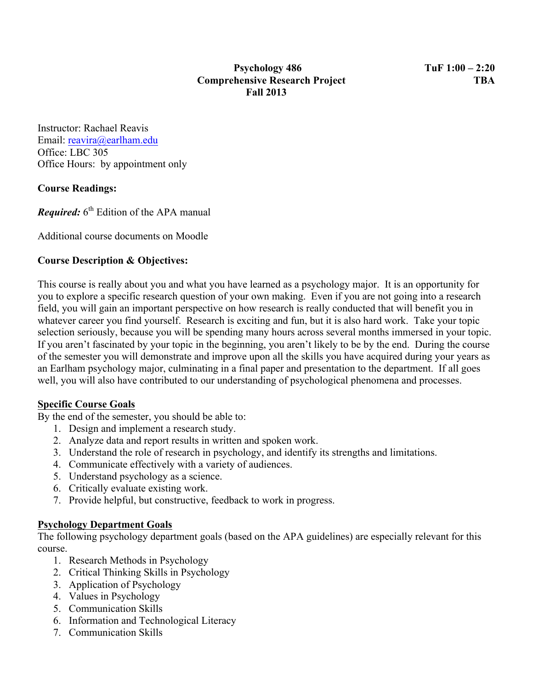Instructor: Rachael Reavis Email: reavira@earlham.edu Office: LBC 305 Office Hours: by appointment only

# **Course Readings:**

*Required:* 6<sup>th</sup> Edition of the APA manual

Additional course documents on Moodle

# **Course Description & Objectives:**

This course is really about you and what you have learned as a psychology major. It is an opportunity for you to explore a specific research question of your own making. Even if you are not going into a research field, you will gain an important perspective on how research is really conducted that will benefit you in whatever career you find yourself. Research is exciting and fun, but it is also hard work. Take your topic selection seriously, because you will be spending many hours across several months immersed in your topic. If you aren't fascinated by your topic in the beginning, you aren't likely to be by the end. During the course of the semester you will demonstrate and improve upon all the skills you have acquired during your years as an Earlham psychology major, culminating in a final paper and presentation to the department. If all goes well, you will also have contributed to our understanding of psychological phenomena and processes.

## **Specific Course Goals**

By the end of the semester, you should be able to:

- 1. Design and implement a research study.
- 2. Analyze data and report results in written and spoken work.
- 3. Understand the role of research in psychology, and identify its strengths and limitations.
- 4. Communicate effectively with a variety of audiences.
- 5. Understand psychology as a science.
- 6. Critically evaluate existing work.
- 7. Provide helpful, but constructive, feedback to work in progress.

## **Psychology Department Goals**

The following psychology department goals (based on the APA guidelines) are especially relevant for this course.

- 1. Research Methods in Psychology
- 2. Critical Thinking Skills in Psychology
- 3. Application of Psychology
- 4. Values in Psychology
- 5. Communication Skills
- 6. Information and Technological Literacy
- 7. Communication Skills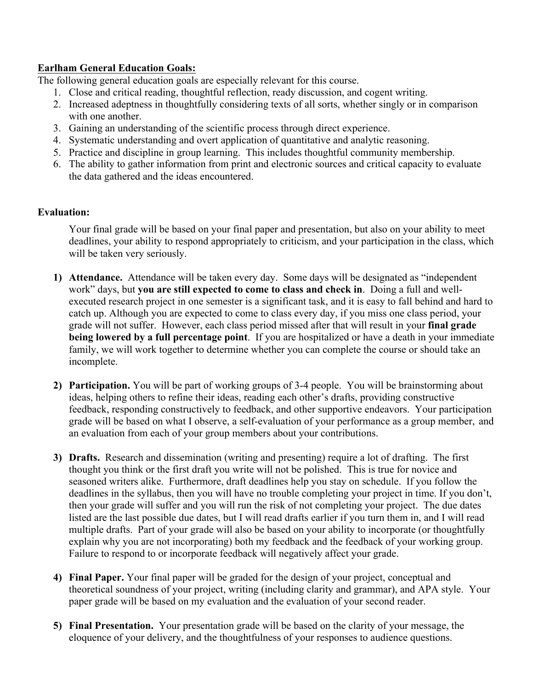## **Earlham General Education Goals:**

The following general education goals are especially relevant for this course.

- 1. Close and critical reading, thoughtful reflection, ready discussion, and cogent writing.
- 2. Increased adeptness in thoughtfully considering texts of all sorts, whether singly or in comparison with one another.
- 3. Gaining an understanding of the scientific process through direct experience.
- 4. Systematic understanding and overt application of quantitative and analytic reasoning.
- 5. Practice and discipline in group learning. This includes thoughtful community membership.
- 6. The ability to gather information from print and electronic sources and critical capacity to evaluate the data gathered and the ideas encountered.

## **Evaluation:**

Your final grade will be based on your final paper and presentation, but also on your ability to meet deadlines, your ability to respond appropriately to criticism, and your participation in the class, which will be taken very seriously.

- **1) Attendance.** Attendance will be taken every day. Some days will be designated as "independent work" days, but **you are still expected to come to class and check in**. Doing a full and wellexecuted research project in one semester is a significant task, and it is easy to fall behind and hard to catch up. Although you are expected to come to class every day, if you miss one class period, your grade will not suffer. However, each class period missed after that will result in your **final grade being lowered by a full percentage point**. If you are hospitalized or have a death in your immediate family, we will work together to determine whether you can complete the course or should take an incomplete.
- **2) Participation.** You will be part of working groups of 3-4 people. You will be brainstorming about ideas, helping others to refine their ideas, reading each other's drafts, providing constructive feedback, responding constructively to feedback, and other supportive endeavors. Your participation grade will be based on what I observe, a self-evaluation of your performance as a group member, and an evaluation from each of your group members about your contributions.
- **3) Drafts.** Research and dissemination (writing and presenting) require a lot of drafting. The first thought you think or the first draft you write will not be polished. This is true for novice and seasoned writers alike. Furthermore, draft deadlines help you stay on schedule. If you follow the deadlines in the syllabus, then you will have no trouble completing your project in time. If you don't, then your grade will suffer and you will run the risk of not completing your project. The due dates listed are the last possible due dates, but I will read drafts earlier if you turn them in, and I will read multiple drafts. Part of your grade will also be based on your ability to incorporate (or thoughtfully explain why you are not incorporating) both my feedback and the feedback of your working group. Failure to respond to or incorporate feedback will negatively affect your grade.
- **4) Final Paper.** Your final paper will be graded for the design of your project, conceptual and theoretical soundness of your project, writing (including clarity and grammar), and APA style. Your paper grade will be based on my evaluation and the evaluation of your second reader.
- **5) Final Presentation.** Your presentation grade will be based on the clarity of your message, the eloquence of your delivery, and the thoughtfulness of your responses to audience questions.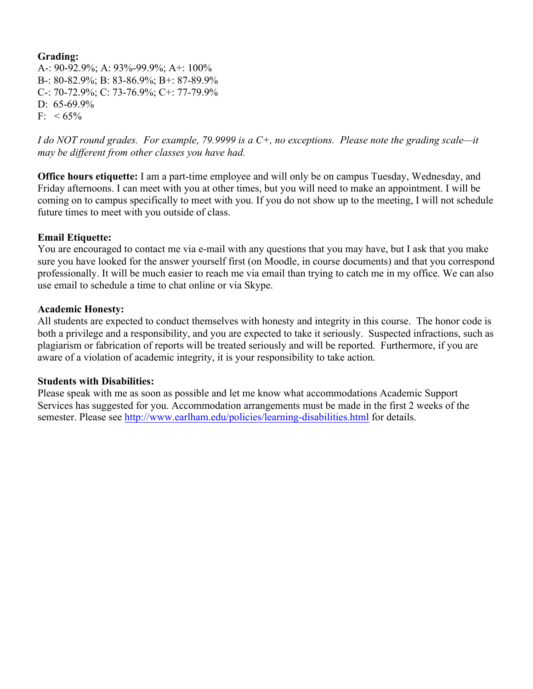#### **Grading:**

A-: 90-92.9%; A: 93%-99.9%; A+: 100% B-: 80-82.9%; B: 83-86.9%; B+: 87-89.9% C-: 70-72.9%; C: 73-76.9%; C+: 77-79.9% D: 65-69.9%  $F: < 65\%$ 

*I do NOT round grades. For example, 79.9999 is a C+, no exceptions. Please note the grading scale—it may be different from other classes you have had.* 

**Office hours etiquette:** I am a part-time employee and will only be on campus Tuesday, Wednesday, and Friday afternoons. I can meet with you at other times, but you will need to make an appointment. I will be coming on to campus specifically to meet with you. If you do not show up to the meeting, I will not schedule future times to meet with you outside of class.

#### **Email Etiquette:**

You are encouraged to contact me via e-mail with any questions that you may have, but I ask that you make sure you have looked for the answer yourself first (on Moodle, in course documents) and that you correspond professionally. It will be much easier to reach me via email than trying to catch me in my office. We can also use email to schedule a time to chat online or via Skype.

#### **Academic Honesty:**

All students are expected to conduct themselves with honesty and integrity in this course. The honor code is both a privilege and a responsibility, and you are expected to take it seriously. Suspected infractions, such as plagiarism or fabrication of reports will be treated seriously and will be reported. Furthermore, if you are aware of a violation of academic integrity, it is your responsibility to take action.

#### **Students with Disabilities:**

Please speak with me as soon as possible and let me know what accommodations Academic Support Services has suggested for you. Accommodation arrangements must be made in the first 2 weeks of the semester. Please see http://www.earlham.edu/policies/learning-disabilities.html for details.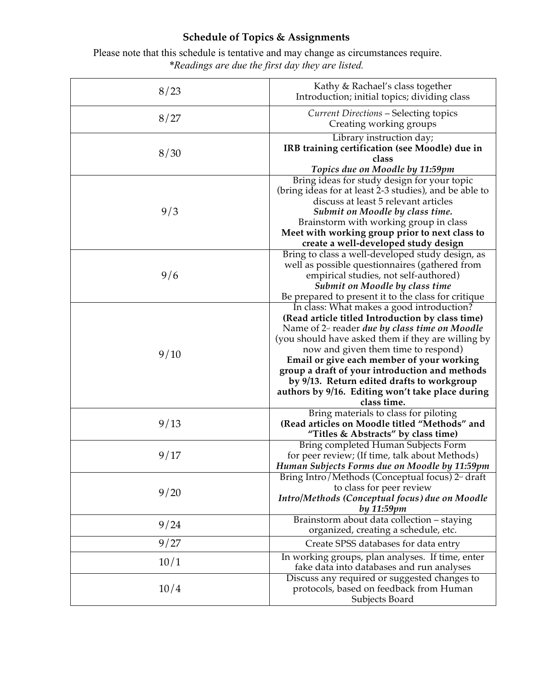# **Schedule of Topics & Assignments**

Please note that this schedule is tentative and may change as circumstances require. *\*Readings are due the first day they are listed.*

| 8/23 | Kathy & Rachael's class together<br>Introduction; initial topics; dividing class                                                                                                                                                                                                                                                                                                                                                                               |
|------|----------------------------------------------------------------------------------------------------------------------------------------------------------------------------------------------------------------------------------------------------------------------------------------------------------------------------------------------------------------------------------------------------------------------------------------------------------------|
| 8/27 | <b>Current Directions - Selecting topics</b><br>Creating working groups                                                                                                                                                                                                                                                                                                                                                                                        |
| 8/30 | Library instruction day;<br>IRB training certification (see Moodle) due in<br>class<br>Topics due on Moodle by 11:59pm                                                                                                                                                                                                                                                                                                                                         |
| 9/3  | Bring ideas for study design for your topic<br>(bring ideas for at least 2-3 studies), and be able to<br>discuss at least 5 relevant articles<br>Submit on Moodle by class time.<br>Brainstorm with working group in class<br>Meet with working group prior to next class to<br>create a well-developed study design                                                                                                                                           |
| 9/6  | Bring to class a well-developed study design, as<br>well as possible questionnaires (gathered from<br>empirical studies, not self-authored)<br><b>Submit on Moodle by class time</b><br>Be prepared to present it to the class for critique                                                                                                                                                                                                                    |
| 9/10 | In class: What makes a good introduction?<br>(Read article titled Introduction by class time)<br>Name of $2nd$ reader due by class time on Moodle<br>(you should have asked them if they are willing by<br>now and given them time to respond)<br>Email or give each member of your working<br>group a draft of your introduction and methods<br>by 9/13. Return edited drafts to workgroup<br>authors by 9/16. Editing won't take place during<br>class time. |
| 9/13 | Bring materials to class for piloting<br>(Read articles on Moodle titled "Methods" and<br>"Titles & Abstracts" by class time)                                                                                                                                                                                                                                                                                                                                  |
| 9/17 | Bring completed Human Subjects Form<br>for peer review; (If time, talk about Methods)<br>Human Subjects Forms due on Moodle by 11:59pm                                                                                                                                                                                                                                                                                                                         |
| 9/20 | Bring Intro/Methods (Conceptual focus) 2 <sup>nd</sup> draft<br>to class for peer review<br>Intro/Methods (Conceptual focus) due on Moodle<br>by 11:59pm                                                                                                                                                                                                                                                                                                       |
| 9/24 | Brainstorm about data collection - staying<br>organized, creating a schedule, etc.                                                                                                                                                                                                                                                                                                                                                                             |
| 9/27 | Create SPSS databases for data entry                                                                                                                                                                                                                                                                                                                                                                                                                           |
| 10/1 | In working groups, plan analyses. If time, enter<br>fake data into databases and run analyses                                                                                                                                                                                                                                                                                                                                                                  |
| 10/4 | Discuss any required or suggested changes to<br>protocols, based on feedback from Human<br>Subjects Board                                                                                                                                                                                                                                                                                                                                                      |